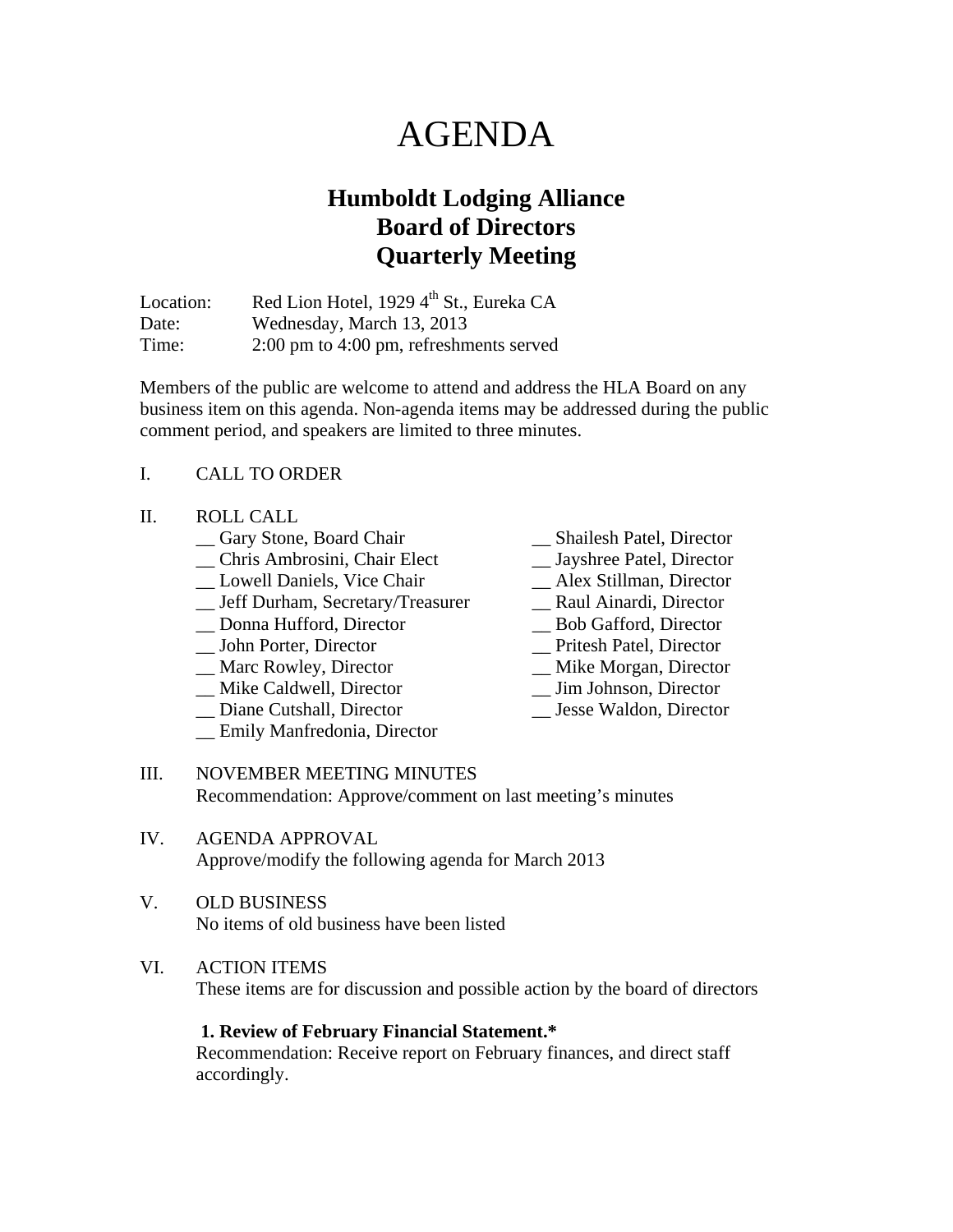# AGENDA

# **Humboldt Lodging Alliance Board of Directors Quarterly Meeting**

Location: Red Lion Hotel, 1929  $4<sup>th</sup>$  St., Eureka CA Date: Wednesday, March 13, 2013 Time: 2:00 pm to 4:00 pm, refreshments served

Members of the public are welcome to attend and address the HLA Board on any business item on this agenda. Non-agenda items may be addressed during the public comment period, and speakers are limited to three minutes.

### I. CALL TO ORDER

#### II. ROLL CALL

- \_\_ Gary Stone, Board Chair \_\_ Shailesh Patel, Director
- \_\_ Chris Ambrosini, Chair Elect \_\_ Jayshree Patel, Director
- 
- \_\_ Lowell Daniels, Vice Chair \_\_ Alex Stillman, Director \_\_ Jeff Durham, Secretary/Treasurer
- \_\_ Donna Hufford, Director \_\_ Bob Gafford, Director
- \_\_ John Porter, Director \_\_ Pritesh Patel, Director
- 
- \_\_ Marc Rowley, Director \_\_ Mike Morgan, Director \_\_ Mike Caldwell, Director \_\_ Jim Johnson, Director
- \_\_ Diane Cutshall, Director \_\_ Jesse Waldon, Director
- \_\_ Emily Manfredonia, Director
- 
- 
- 
- 
- 
- 
- 
- 
- 
- III. NOVEMBER MEETING MINUTES Recommendation: Approve/comment on last meeting's minutes
- IV. AGENDA APPROVAL Approve/modify the following agenda for March 2013

#### V. OLD BUSINESS No items of old business have been listed

VI. ACTION ITEMS These items are for discussion and possible action by the board of directors

 **1. Review of February Financial Statement.\***

Recommendation: Receive report on February finances, and direct staff accordingly.